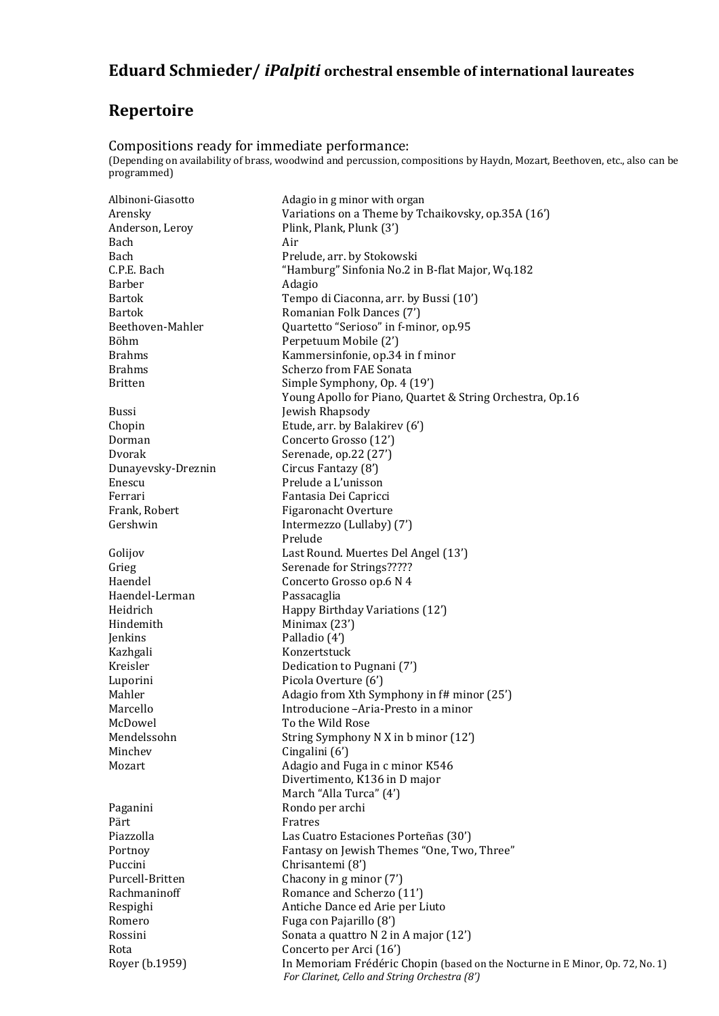## **Eduard Schmieder/** *iPalpiti* **orchestral ensemble of international laureates**

## **Repertoire**

Compositions ready for immediate performance: (Depending on availability of brass, woodwind and percussion, compositions by Haydn, Mozart, Beethoven, etc., also can be programmed)

Albinoni-Giasotto Adagio in g minor with organ Arensky Variations on a Theme by Tchaikovsky, op.35A (16') Anderson, Leroy Plink, Plank, Plunk (3') Bach Air Bach Prelude, arr. by Stokowski C.P.E. Bach "Hamburg" Sinfonia No.2 in B-flat Major, Wq.182 Barber Adagio Bartok Tempo di Ciaconna, arr. by Bussi (10') Bartok **Romanian Folk Dances (7')** Beethoven-Mahler Quartetto "Serioso" in f-minor, op.95 Böhm Perpetuum Mobile (2') Brahms Kammersinfonie, op.34 in f minor Brahms Scherzo from FAE Sonata Britten Simple Symphony, Op. 4 (19') Young Apollo for Piano, Quartet & String Orchestra, Op.16 Bussi Jewish Rhapsody Chopin Etude, arr. by Balakirev (6') Dorman Concerto Grosso (12') Dvorak Serenade, op.22 (27') Dunayevsky-Dreznin Circus Fantazy (8') Enescu Prelude a L'unisson Ferrari Fantasia Dei Capricci Frank, Robert Figaronacht Overture Gershwin Intermezzo (Lullaby) (7') Prelude Golijov Last Round. Muertes Del Angel (13') Grieg Serenade for Strings?????<br>Haendel Concerto Grosso op.6 N 4 Concerto Grosso op.6 N 4 Haendel-Lerman Passacaglia Heidrich Happy Birthday Variations (12') Hindemith Minimax (23') Jenkins Palladio (4') Kazhgali Konzertstuck Kreisler Dedication to Pugnani (7') Luporini Picola Overture (6') Mahler Mahler Adagio from Xth Symphony in f# minor (25') Marcello Introducione –Aria-Presto in a minor McDowel To the Wild Rose Mendelssohn String Symphony N X in b minor (12') Minchev Cingalini (6') Mozart Mozart Adagio and Fuga in c minor K546 Divertimento, K136 in D major March "Alla Turca" (4') Paganini Rondo per archi Pärt Fratres Piazzolla Las Cuatro Estaciones Porteñas (30') Portnoy Fantasy on Jewish Themes "One, Two, Three" Puccini Chrisantemi (8') Purcell-Britten Chacony in g minor (7') Rachmaninoff Romance and Scherzo (11') Respighi Antiche Dance ed Arie per Liuto Romero Fuga con Pajarillo (8') Rossini Sonata a quattro N 2 in A major (12') Rota Concerto per Arci (16') Royer (b.1959) In Memoriam Frédéric Chopin (based on the Nocturne in E Minor, Op. 72, No. 1) *For Clarinet, Cello and String Orchestra (8')*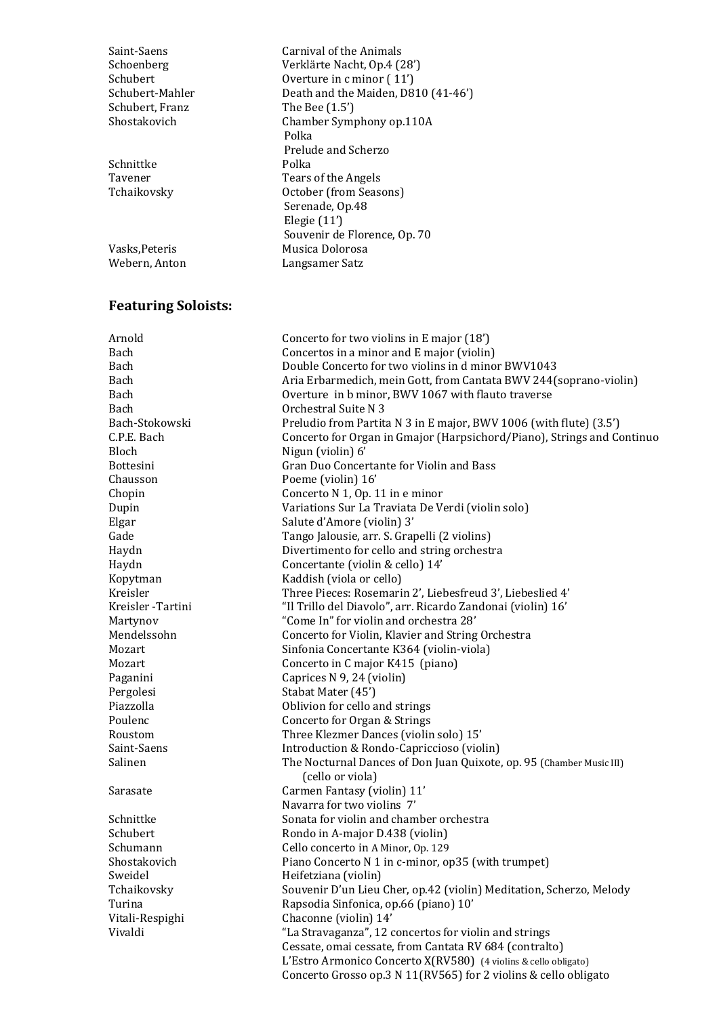Schubert, Franz The Bee (1.5')

Schnittke Polka<br>Tavener Tears

## **Featuring Soloists:**

Saint-Saens Carnival of the Animals Schoenberg Verklärte Nacht, Op.4 (28') Schubert Overture in c minor (11') Schubert-Mahler Death and the Maiden, D810 (41-46') Shostakovich Chamber Symphony op.110A Polka Prelude and Scherzo Tears of the Angels Tchaikovsky October (from Seasons) Serenade, Op.48 Elegie (11') Souvenir de Florence, Op. 70 Vasks.Peteris Musica Dolorosa Webern, Anton Langsamer Satz

Arnold Concerto for two violins in E major (18') Bach Concertos in a minor and E major (violin) Bach Double Concerto for two violins in d minor BWV1043 Bach Aria Erbarmedich, mein Gott, from Cantata BWV 244(soprano-violin) Bach Overture in b minor, BWV 1067 with flauto traverse Bach Orchestral Suite N 3 Bach-Stokowski Preludio from Partita N 3 in E major, BWV 1006 (with flute) (3.5') C.P.E. Bach Concerto for Organ in Gmajor (Harpsichord/Piano), Strings and Continuo Bloch Nigun (violin) 6' Bottesini Gran Duo Concertante for Violin and Bass Chausson Poeme (violin) 16' Chopin Concerto N 1, Op. 11 in e minor Dupin Variations Sur La Traviata De Verdi (violin solo) Elgar Salute d'Amore (violin) 3' Gade Tango Jalousie, arr. S. Grapelli (2 violins) Haydn Divertimento for cello and string orchestra Haydn Concertante (violin & cello) 14' Kopytman Kaddish (viola or cello) Kreisler Three Pieces: Rosemarin 2', Liebesfreud 3', Liebeslied 4' Kreisler -Tartini "Il Trillo del Diavolo", arr. Ricardo Zandonai (violin) 16' Martynov "Come In" for violin and orchestra 28' Mendelssohn Concerto for Violin, Klavier and String Orchestra Mozart Sinfonia Concertante K364 (violin-viola) Mozart Concerto in C major K415 (piano) Paganini Caprices N 9, 24 (violin) Pergolesi Stabat Mater (45') Piazzolla **Piazzolla** Oblivion for cello and strings<br>Poulenc Concerto for Organ & Strings Concerto for Organ & Strings Roustom Three Klezmer Dances (violin solo) 15' Saint-Saens Introduction & Rondo-Capriccioso (violin) Salinen The Nocturnal Dances of Don Juan Quixote, op. 95 (Chamber Music III) (cello or viola) Sarasate Carmen Fantasy (violin) 11' Navarra for two violins 7' Schnittke Sonata for violin and chamber orchestra Schubert Rondo in A-major D.438 (violin) Schumann Cello concerto in A Minor, Op. 129 Shostakovich Piano Concerto N 1 in c-minor, op35 (with trumpet) Sweidel Heifetziana (violin) Tchaikovsky Souvenir D'un Lieu Cher, op.42 (violin) Meditation, Scherzo, Melody Turina Rapsodia Sinfonica, op.66 (piano) 10' Vitali-Respighi Chaconne (violin) 14' Vivaldi "La Stravaganza", 12 concertos for violin and strings Cessate, omai cessate, from Cantata RV 684 (contralto) L'Estro Armonico Concerto X(RV580) (4 violins & cello obligato) Concerto Grosso op.3 N 11(RV565) for 2 violins & cello obligato